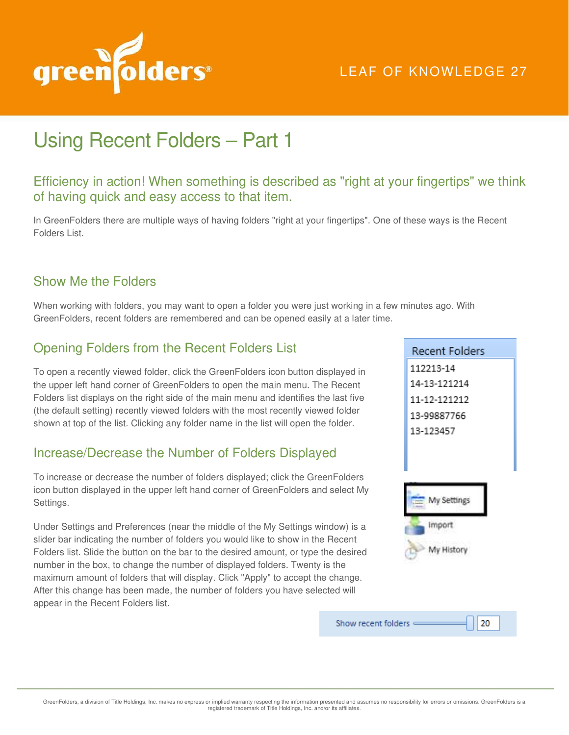

# LEAF OF KNOWLEDGE 27

# Using Recent Folders – Part 1

## Efficiency in action! When something is described as "right at your fingertips" we think of having quick and easy access to that item.

In GreenFolders there are multiple ways of having folders "right at your fingertips". One of these ways is the Recent Folders List.

#### Show Me the Folders

When working with folders, you may want to open a folder you were just working in a few minutes ago. With GreenFolders, recent folders are remembered and can be opened easily at a later time.

# Opening Folders from the Recent Folders List

To open a recently viewed folder, click the GreenFolders icon button displayed in the upper left hand corner of GreenFolders to open the main menu. The Recent Folders list displays on the right side of the main menu and identifies the last five (the default setting) recently viewed folders with the most recently viewed folder shown at top of the list. Clicking any folder name in the list will open the folder.

## Increase/Decrease the Number of Folders Displayed

To increase or decrease the number of folders displayed; click the GreenFolders icon button displayed in the upper left hand corner of GreenFolders and select My Settings.

Under Settings and Preferences (near the middle of the My Settings window) is a slider bar indicating the number of folders you would like to show in the Recent Folders list. Slide the button on the bar to the desired amount, or type the desired number in the box, to change the number of displayed folders. Twenty is the maximum amount of folders that will display. Click "Apply" to accept the change. After this change has been made, the number of folders you have selected will appear in the Recent Folders list.

Recent Folders 112213-14 14-13-121214 11-12-121212 13-99887766 13-123457 My Settings



20

Show recent folders